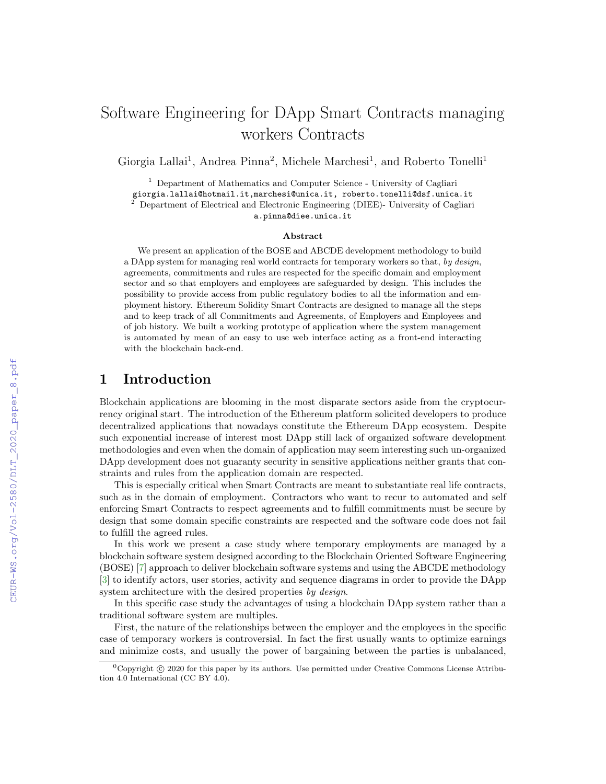# Software Engineering for DApp Smart Contracts managing workers Contracts

Giorgia Lallai<sup>1</sup>, Andrea Pinna<sup>2</sup>, Michele Marchesi<sup>1</sup>, and Roberto Tonelli<sup>1</sup>

<sup>1</sup> Department of Mathematics and Computer Science - University of Cagliari

giorgia.lallai@hotmail.it,marchesi@unica.it, roberto.tonelli@dsf.unica.it<br><sup>2</sup> Department of Flatting in Fig.

<sup>2</sup> Department of Electrical and Electronic Engineering (DIEE)- University of Cagliari

a.pinna@diee.unica.it

#### Abstract

We present an application of the BOSE and ABCDE development methodology to build a DApp system for managing real world contracts for temporary workers so that, by design, agreements, commitments and rules are respected for the specific domain and employment sector and so that employers and employees are safeguarded by design. This includes the possibility to provide access from public regulatory bodies to all the information and employment history. Ethereum Solidity Smart Contracts are designed to manage all the steps and to keep track of all Commitments and Agreements, of Employers and Employees and of job history. We built a working prototype of application where the system management is automated by mean of an easy to use web interface acting as a front-end interacting with the blockchain back-end.

## 1 Introduction

Blockchain applications are blooming in the most disparate sectors aside from the cryptocurrency original start. The introduction of the Ethereum platform solicited developers to produce decentralized applications that nowadays constitute the Ethereum DApp ecosystem. Despite such exponential increase of interest most DApp still lack of organized software development methodologies and even when the domain of application may seem interesting such un-organized DApp development does not guaranty security in sensitive applications neither grants that constraints and rules from the application domain are respected.

This is especially critical when Smart Contracts are meant to substantiate real life contracts, such as in the domain of employment. Contractors who want to recur to automated and self enforcing Smart Contracts to respect agreements and to fulfill commitments must be secure by design that some domain specific constraints are respected and the software code does not fail to fulfill the agreed rules.

In this work we present a case study where temporary employments are managed by a blockchain software system designed according to the Blockchain Oriented Software Engineering (BOSE) [\[7\]](#page--1-0) approach to deliver blockchain software systems and using the ABCDE methodology [\[3\]](#page--1-1) to identify actors, user stories, activity and sequence diagrams in order to provide the DApp system architecture with the desired properties by design.

In this specific case study the advantages of using a blockchain DApp system rather than a traditional software system are multiples.

First, the nature of the relationships between the employer and the employees in the specific case of temporary workers is controversial. In fact the first usually wants to optimize earnings and minimize costs, and usually the power of bargaining between the parties is unbalanced,

 ${}^{0}$ Copyright  $\odot$  2020 for this paper by its authors. Use permitted under Creative Commons License Attribution 4.0 International (CC BY 4.0).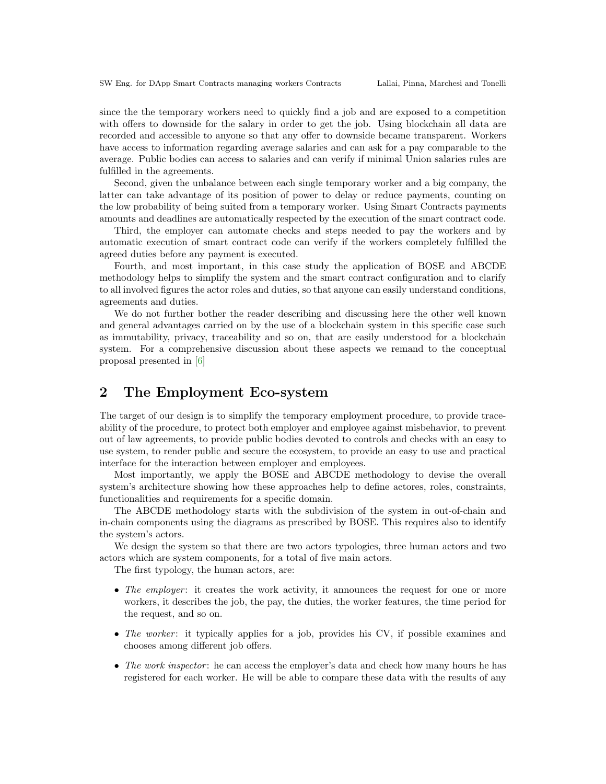since the the temporary workers need to quickly find a job and are exposed to a competition with offers to downside for the salary in order to get the job. Using blockchain all data are recorded and accessible to anyone so that any offer to downside became transparent. Workers have access to information regarding average salaries and can ask for a pay comparable to the average. Public bodies can access to salaries and can verify if minimal Union salaries rules are fulfilled in the agreements.

Second, given the unbalance between each single temporary worker and a big company, the latter can take advantage of its position of power to delay or reduce payments, counting on the low probability of being suited from a temporary worker. Using Smart Contracts payments amounts and deadlines are automatically respected by the execution of the smart contract code.

Third, the employer can automate checks and steps needed to pay the workers and by automatic execution of smart contract code can verify if the workers completely fulfilled the agreed duties before any payment is executed.

Fourth, and most important, in this case study the application of BOSE and ABCDE methodology helps to simplify the system and the smart contract configuration and to clarify to all involved figures the actor roles and duties, so that anyone can easily understand conditions, agreements and duties.

We do not further bother the reader describing and discussing here the other well known and general advantages carried on by the use of a blockchain system in this specific case such as immutability, privacy, traceability and so on, that are easily understood for a blockchain system. For a comprehensive discussion about these aspects we remand to the conceptual proposal presented in [\[6\]](#page-13-0)

# 2 The Employment Eco-system

The target of our design is to simplify the temporary employment procedure, to provide traceability of the procedure, to protect both employer and employee against misbehavior, to prevent out of law agreements, to provide public bodies devoted to controls and checks with an easy to use system, to render public and secure the ecosystem, to provide an easy to use and practical interface for the interaction between employer and employees.

Most importantly, we apply the BOSE and ABCDE methodology to devise the overall system's architecture showing how these approaches help to define actores, roles, constraints, functionalities and requirements for a specific domain.

The ABCDE methodology starts with the subdivision of the system in out-of-chain and in-chain components using the diagrams as prescribed by BOSE. This requires also to identify the system's actors.

We design the system so that there are two actors typologies, three human actors and two actors which are system components, for a total of five main actors.

The first typology, the human actors, are:

- The employer: it creates the work activity, it announces the request for one or more workers, it describes the job, the pay, the duties, the worker features, the time period for the request, and so on.
- The worker: it typically applies for a job, provides his CV, if possible examines and chooses among different job offers.
- The work inspector: he can access the employer's data and check how many hours he has registered for each worker. He will be able to compare these data with the results of any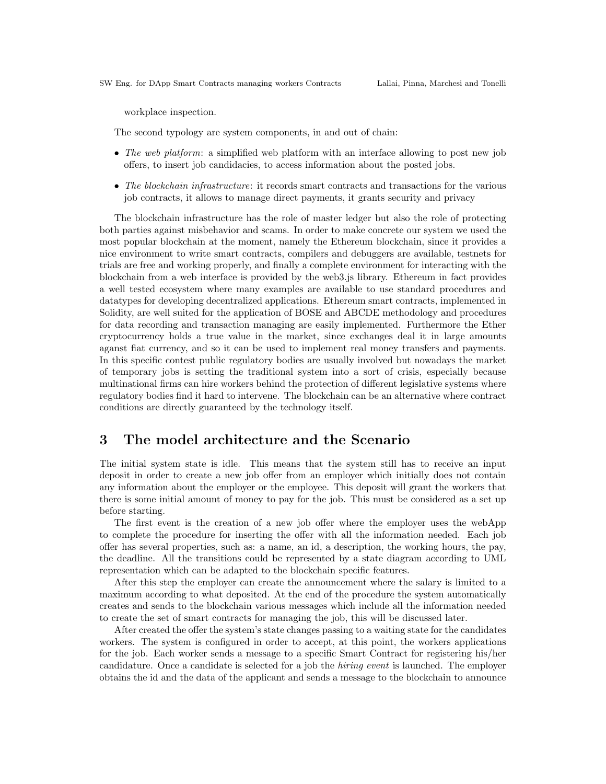workplace inspection.

The second typology are system components, in and out of chain:

- The web platform: a simplified web platform with an interface allowing to post new job offers, to insert job candidacies, to access information about the posted jobs.
- The blockchain infrastructure: it records smart contracts and transactions for the various job contracts, it allows to manage direct payments, it grants security and privacy

The blockchain infrastructure has the role of master ledger but also the role of protecting both parties against misbehavior and scams. In order to make concrete our system we used the most popular blockchain at the moment, namely the Ethereum blockchain, since it provides a nice environment to write smart contracts, compilers and debuggers are available, testnets for trials are free and working properly, and finally a complete environment for interacting with the blockchain from a web interface is provided by the web3.js library. Ethereum in fact provides a well tested ecosystem where many examples are available to use standard procedures and datatypes for developing decentralized applications. Ethereum smart contracts, implemented in Solidity, are well suited for the application of BOSE and ABCDE methodology and procedures for data recording and transaction managing are easily implemented. Furthermore the Ether cryptocurrency holds a true value in the market, since exchanges deal it in large amounts aganst fiat currency, and so it can be used to implement real money transfers and payments. In this specific contest public regulatory bodies are usually involved but nowadays the market of temporary jobs is setting the traditional system into a sort of crisis, especially because multinational firms can hire workers behind the protection of different legislative systems where regulatory bodies find it hard to intervene. The blockchain can be an alternative where contract conditions are directly guaranteed by the technology itself.

## 3 The model architecture and the Scenario

The initial system state is idle. This means that the system still has to receive an input deposit in order to create a new job offer from an employer which initially does not contain any information about the employer or the employee. This deposit will grant the workers that there is some initial amount of money to pay for the job. This must be considered as a set up before starting.

The first event is the creation of a new job offer where the employer uses the webApp to complete the procedure for inserting the offer with all the information needed. Each job offer has several properties, such as: a name, an id, a description, the working hours, the pay, the deadline. All the transitions could be represented by a state diagram according to UML representation which can be adapted to the blockchain specific features.

After this step the employer can create the announcement where the salary is limited to a maximum according to what deposited. At the end of the procedure the system automatically creates and sends to the blockchain various messages which include all the information needed to create the set of smart contracts for managing the job, this will be discussed later.

After created the offer the system's state changes passing to a waiting state for the candidates workers. The system is configured in order to accept, at this point, the workers applications for the job. Each worker sends a message to a specific Smart Contract for registering his/her candidature. Once a candidate is selected for a job the hiring event is launched. The employer obtains the id and the data of the applicant and sends a message to the blockchain to announce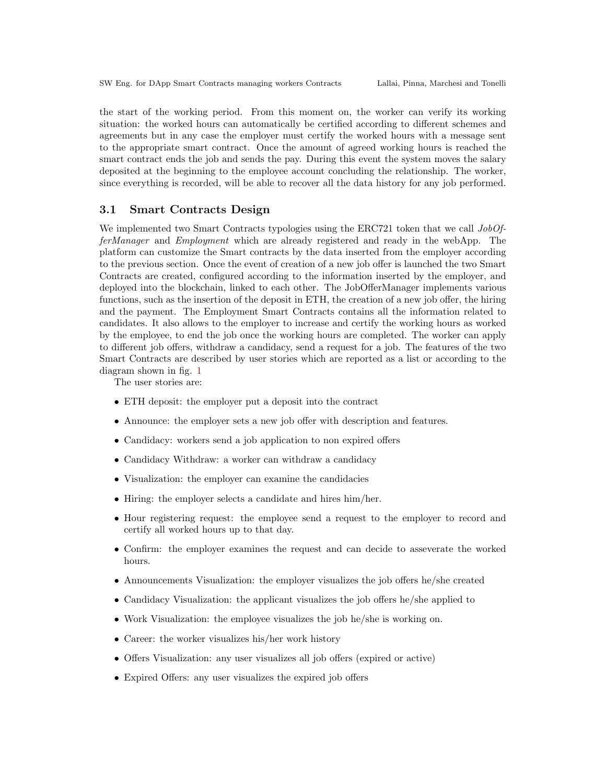the start of the working period. From this moment on, the worker can verify its working situation: the worked hours can automatically be certified according to different schemes and agreements but in any case the employer must certify the worked hours with a message sent to the appropriate smart contract. Once the amount of agreed working hours is reached the smart contract ends the job and sends the pay. During this event the system moves the salary deposited at the beginning to the employee account concluding the relationship. The worker, since everything is recorded, will be able to recover all the data history for any job performed.

#### 3.1 Smart Contracts Design

We implemented two Smart Contracts typologies using the ERC721 token that we call  $JobOf$ ferManager and Employment which are already registered and ready in the webApp. The platform can customize the Smart contracts by the data inserted from the employer according to the previous section. Once the event of creation of a new job offer is launched the two Smart Contracts are created, configured according to the information inserted by the employer, and deployed into the blockchain, linked to each other. The JobOfferManager implements various functions, such as the insertion of the deposit in ETH, the creation of a new job offer, the hiring and the payment. The Employment Smart Contracts contains all the information related to candidates. It also allows to the employer to increase and certify the working hours as worked by the employee, to end the job once the working hours are completed. The worker can apply to different job offers, withdraw a candidacy, send a request for a job. The features of the two Smart Contracts are described by user stories which are reported as a list or according to the diagram shown in fig. [1](#page-4-0)

The user stories are:

- ETH deposit: the employer put a deposit into the contract
- Announce: the employer sets a new job offer with description and features.
- Candidacy: workers send a job application to non expired offers
- Candidacy Withdraw: a worker can withdraw a candidacy
- Visualization: the employer can examine the candidacies
- Hiring: the employer selects a candidate and hires him/her.
- Hour registering request: the employee send a request to the employer to record and certify all worked hours up to that day.
- Confirm: the employer examines the request and can decide to asseverate the worked hours.
- Announcements Visualization: the employer visualizes the job offers he/she created
- Candidacy Visualization: the applicant visualizes the job offers he/she applied to
- Work Visualization: the employee visualizes the job he/she is working on.
- Career: the worker visualizes his/her work history
- Offers Visualization: any user visualizes all job offers (expired or active)
- Expired Offers: any user visualizes the expired job offers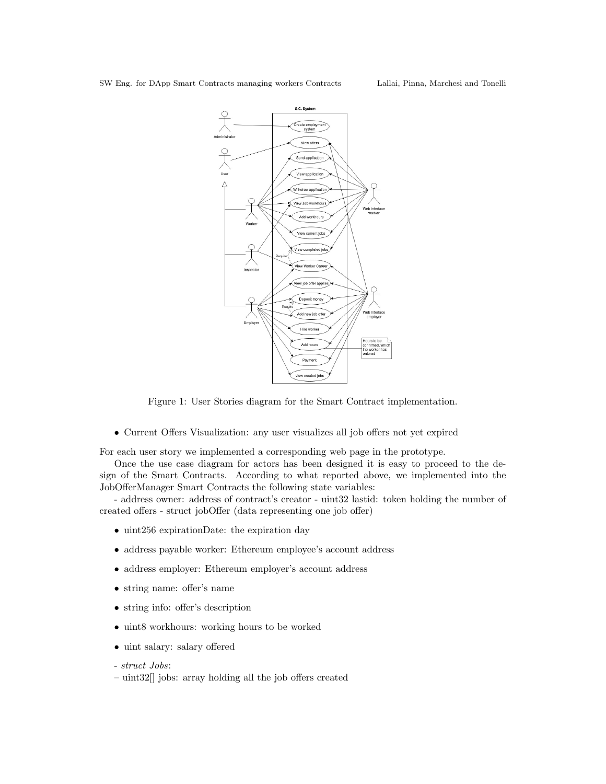

<span id="page-4-0"></span>Figure 1: User Stories diagram for the Smart Contract implementation.

• Current Offers Visualization: any user visualizes all job offers not yet expired

For each user story we implemented a corresponding web page in the prototype.

Once the use case diagram for actors has been designed it is easy to proceed to the design of the Smart Contracts. According to what reported above, we implemented into the JobOfferManager Smart Contracts the following state variables:

- address owner: address of contract's creator - uint32 lastid: token holding the number of created offers - struct jobOffer (data representing one job offer)

- uint256 expirationDate: the expiration day
- address payable worker: Ethereum employee's account address
- address employer: Ethereum employer's account address
- string name: offer's name
- string info: offer's description
- uint8 workhours: working hours to be worked
- uint salary: salary offered
- struct Jobs:
- uint32[] jobs: array holding all the job offers created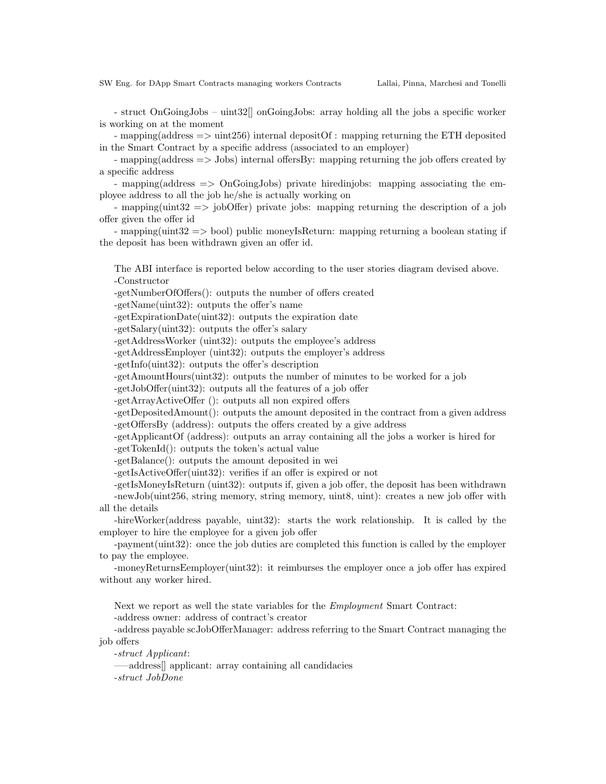- struct OnGoingJobs – uint32[] onGoingJobs: array holding all the jobs a specific worker is working on at the moment

- mapping(address => uint256) internal depositOf : mapping returning the ETH deposited in the Smart Contract by a specific address (associated to an employer)

- mapping(address => Jobs) internal offersBy: mapping returning the job offers created by a specific address

- mapping(address => OnGoingJobs) private hiredinjobs: mapping associating the employee address to all the job he/she is actually working on

- mapping(uint32 => jobOffer) private jobs: mapping returning the description of a job offer given the offer id

- mapping(uint32 => bool) public moneyIsReturn: mapping returning a boolean stating if the deposit has been withdrawn given an offer id.

The ABI interface is reported below according to the user stories diagram devised above. -Constructor

-getNumberOfOffers(): outputs the number of offers created

-getName(uint32): outputs the offer's name

-getExpirationDate(uint32): outputs the expiration date

-getSalary(uint32): outputs the offer's salary

-getAddressWorker (uint32): outputs the employee's address

-getAddressEmployer (uint32): outputs the employer's address

-getInfo(uint32): outputs the offer's description

-getAmountHours(uint32): outputs the number of minutes to be worked for a job

-getJobOffer(uint32): outputs all the features of a job offer

-getArrayActiveOffer (): outputs all non expired offers

-getDepositedAmount(): outputs the amount deposited in the contract from a given address -getOffersBy (address): outputs the offers created by a give address

-getApplicantOf (address): outputs an array containing all the jobs a worker is hired for -getTokenId(): outputs the token's actual value

-getBalance(): outputs the amount deposited in wei

-getIsActiveOffer(uint32): verifies if an offer is expired or not

-getIsMoneyIsReturn (uint32): outputs if, given a job offer, the deposit has been withdrawn -newJob(uint256, string memory, string memory, uint8, uint): creates a new job offer with all the details

-hireWorker(address payable, uint32): starts the work relationship. It is called by the employer to hire the employee for a given job offer

-payment(uint32): once the job duties are completed this function is called by the employer to pay the employee.

-moneyReturnsEemployer(uint32): it reimburses the employer once a job offer has expired without any worker hired.

Next we report as well the state variables for the Employment Smart Contract: -address owner: address of contract's creator

-address payable scJobOfferManager: address referring to the Smart Contract managing the job offers

-struct Applicant:

—–address[] applicant: array containing all candidacies

-struct JobDone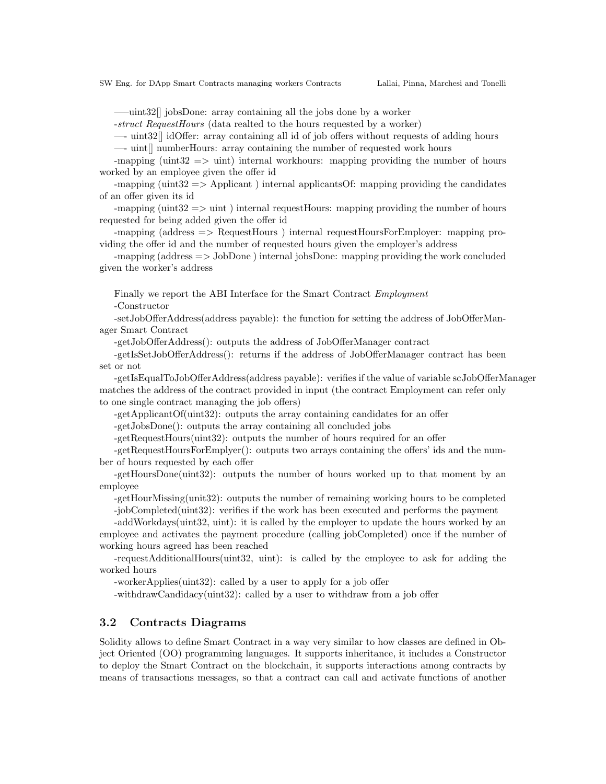—–uint32[] jobsDone: array containing all the jobs done by a worker

-struct RequestHours (data realted to the hours requested by a worker)

—- uint32[] idOffer: array containing all id of job offers without requests of adding hours —- uint[] numberHours: array containing the number of requested work hours

-mapping (uint  $32 \implies$  uint) internal workhours: mapping providing the number of hours worked by an employee given the offer id

-mapping (uint $32 \implies$  Applicant) internal applicantsOf: mapping providing the candidates of an offer given its id

-mapping (uint  $32 \implies$  uint) internal request Hours: mapping providing the number of hours requested for being added given the offer id

-mapping (address => RequestHours ) internal requestHoursForEmployer: mapping providing the offer id and the number of requested hours given the employer's address

-mapping (address => JobDone ) internal jobsDone: mapping providing the work concluded given the worker's address

Finally we report the ABI Interface for the Smart Contract Employment -Constructor

-setJobOfferAddress(address payable): the function for setting the address of JobOfferManager Smart Contract

-getJobOfferAddress(): outputs the address of JobOfferManager contract

-getIsSetJobOfferAddress(): returns if the address of JobOfferManager contract has been set or not

-getIsEqualToJobOfferAddress(address payable): verifies if the value of variable scJobOfferManager matches the address of the contract provided in input (the contract Employment can refer only to one single contract managing the job offers)

-getApplicantOf(uint32): outputs the array containing candidates for an offer

-getJobsDone(): outputs the array containing all concluded jobs

-getRequestHours(uint32): outputs the number of hours required for an offer

-getRequestHoursForEmplyer(): outputs two arrays containing the offers' ids and the number of hours requested by each offer

-getHoursDone(uint32): outputs the number of hours worked up to that moment by an employee

-getHourMissing(unit32): outputs the number of remaining working hours to be completed -jobCompleted(uint32): verifies if the work has been executed and performs the payment

-addWorkdays(uint32, uint): it is called by the employer to update the hours worked by an

employee and activates the payment procedure (calling jobCompleted) once if the number of working hours agreed has been reached

-requestAdditionalHours(uint32, uint): is called by the employee to ask for adding the worked hours

-workerApplies(uint32): called by a user to apply for a job offer

-withdrawCandidacy(uint32): called by a user to withdraw from a job offer

## 3.2 Contracts Diagrams

Solidity allows to define Smart Contract in a way very similar to how classes are defined in Object Oriented (OO) programming languages. It supports inheritance, it includes a Constructor to deploy the Smart Contract on the blockchain, it supports interactions among contracts by means of transactions messages, so that a contract can call and activate functions of another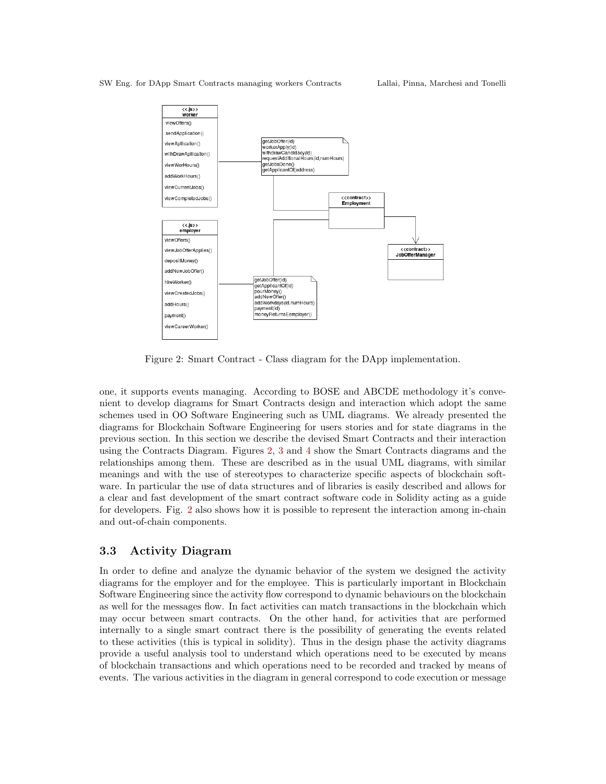

<span id="page-7-0"></span>Figure 2: Smart Contract - Class diagram for the DApp implementation.

one, it supports events managing. According to BOSE and ABCDE methodology it's convenient to develop diagrams for Smart Contracts design and interaction which adopt the same schemes used in OO Software Engineering such as UML diagrams. We already presented the diagrams for Blockchain Software Engineering for users stories and for state diagrams in the previous section. In this section we describe the devised Smart Contracts and their interaction using the Contracts Diagram. Figures [2,](#page-7-0) [3](#page-8-0) and [4](#page-8-1) show the Smart Contracts diagrams and the relationships among them. These are described as in the usual UML diagrams, with similar meanings and with the use of stereotypes to characterize specific aspects of blockchain software. In particular the use of data structures and of libraries is easily described and allows for a clear and fast development of the smart contract software code in Solidity acting as a guide for developers. Fig. [2](#page-7-0) also shows how it is possible to represent the interaction among in-chain and out-of-chain components.

## 3.3 Activity Diagram

In order to define and analyze the dynamic behavior of the system we designed the activity diagrams for the employer and for the employee. This is particularly important in Blockchain Software Engineering since the activity flow correspond to dynamic behaviours on the blockchain as well for the messages flow. In fact activities can match transactions in the blockchain which may occur between smart contracts. On the other hand, for activities that are performed internally to a single smart contract there is the possibility of generating the events related to these activities (this is typical in solidity). Thus in the design phase the activity diagrams provide a useful analysis tool to understand which operations need to be executed by means of blockchain transactions and which operations need to be recorded and tracked by means of events. The various activities in the diagram in general correspond to code execution or message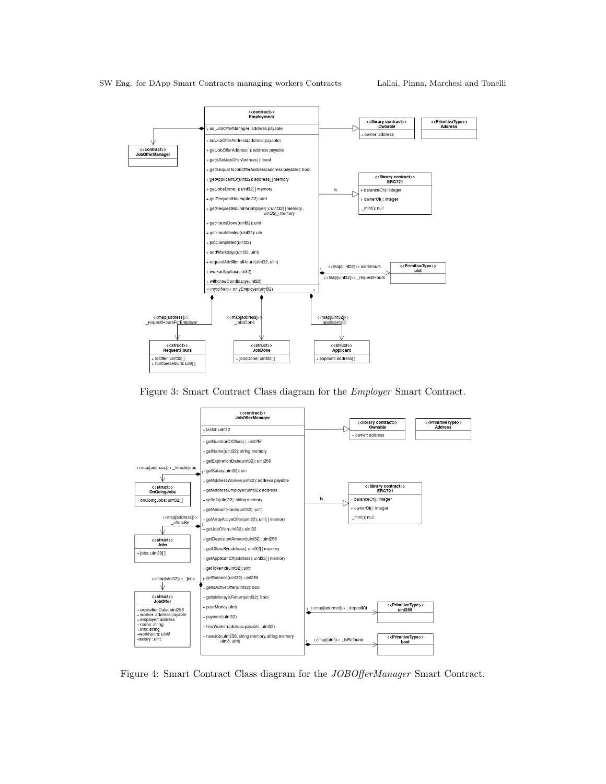![](_page_8_Figure_2.jpeg)

<span id="page-8-0"></span>Figure 3: Smart Contract Class diagram for the Employer Smart Contract.

![](_page_8_Figure_4.jpeg)

<span id="page-8-1"></span>Figure 4: Smart Contract Class diagram for the JOBOfferManager Smart Contract.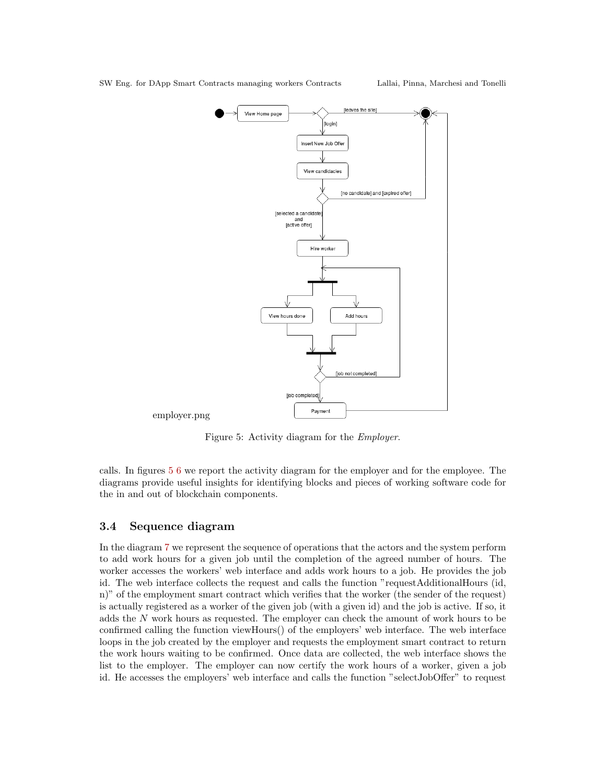![](_page_9_Figure_2.jpeg)

<span id="page-9-0"></span>Figure 5: Activity diagram for the Employer.

calls. In figures [5](#page-9-0) [6](#page-10-0) we report the activity diagram for the employer and for the employee. The diagrams provide useful insights for identifying blocks and pieces of working software code for the in and out of blockchain components.

## 3.4 Sequence diagram

In the diagram [7](#page-11-0) we represent the sequence of operations that the actors and the system perform to add work hours for a given job until the completion of the agreed number of hours. The worker accesses the workers' web interface and adds work hours to a job. He provides the job id. The web interface collects the request and calls the function "requestAdditionalHours (id, n)" of the employment smart contract which verifies that the worker (the sender of the request) is actually registered as a worker of the given job (with a given id) and the job is active. If so, it adds the N work hours as requested. The employer can check the amount of work hours to be confirmed calling the function viewHours() of the employers' web interface. The web interface loops in the job created by the employer and requests the employment smart contract to return the work hours waiting to be confirmed. Once data are collected, the web interface shows the list to the employer. The employer can now certify the work hours of a worker, given a job id. He accesses the employers' web interface and calls the function "selectJobOffer" to request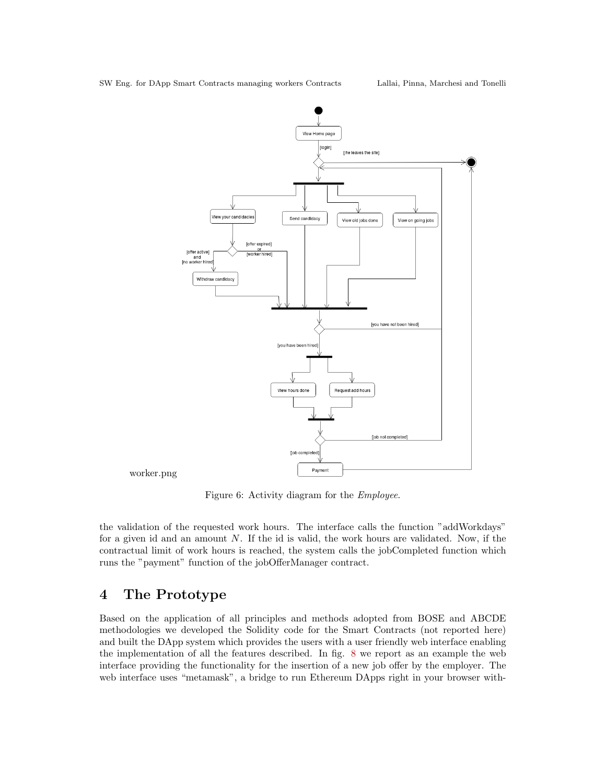![](_page_10_Figure_2.jpeg)

<span id="page-10-0"></span>Figure 6: Activity diagram for the Employee.

the validation of the requested work hours. The interface calls the function "addWorkdays" for a given id and an amount  $N$ . If the id is valid, the work hours are validated. Now, if the contractual limit of work hours is reached, the system calls the jobCompleted function which runs the "payment" function of the jobOfferManager contract.

# 4 The Prototype

Based on the application of all principles and methods adopted from BOSE and ABCDE methodologies we developed the Solidity code for the Smart Contracts (not reported here) and built the DApp system which provides the users with a user friendly web interface enabling the implementation of all the features described. In fig. [8](#page-12-0) we report as an example the web interface providing the functionality for the insertion of a new job offer by the employer. The web interface uses "metamask", a bridge to run Ethereum DApps right in your browser with-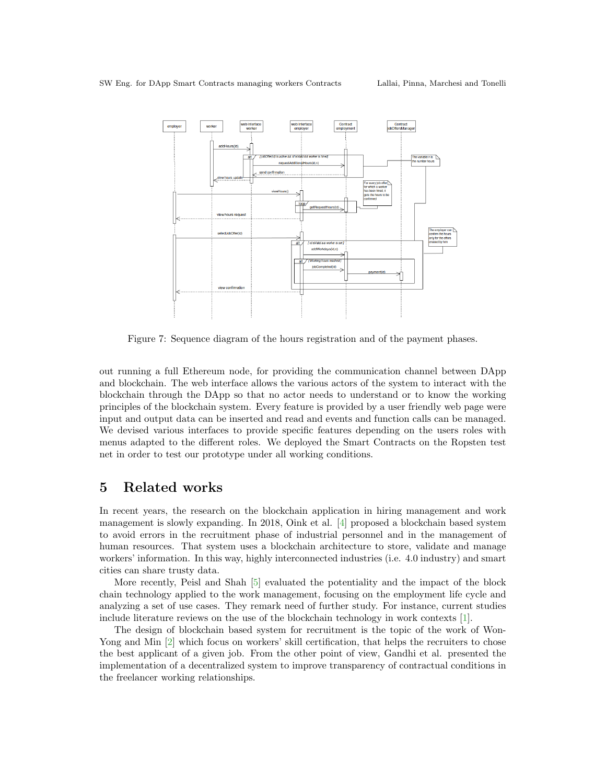![](_page_11_Figure_2.jpeg)

<span id="page-11-0"></span>Figure 7: Sequence diagram of the hours registration and of the payment phases.

out running a full Ethereum node, for providing the communication channel between DApp and blockchain. The web interface allows the various actors of the system to interact with the blockchain through the DApp so that no actor needs to understand or to know the working principles of the blockchain system. Every feature is provided by a user friendly web page were input and output data can be inserted and read and events and function calls can be managed. We devised various interfaces to provide specific features depending on the users roles with menus adapted to the different roles. We deployed the Smart Contracts on the Ropsten test net in order to test our prototype under all working conditions.

## 5 Related works

In recent years, the research on the blockchain application in hiring management and work management is slowly expanding. In 2018, Oink et al. [\[4\]](#page-13-1) proposed a blockchain based system to avoid errors in the recruitment phase of industrial personnel and in the management of human resources. That system uses a blockchain architecture to store, validate and manage workers' information. In this way, highly interconnected industries (i.e. 4.0 industry) and smart cities can share trusty data.

More recently, Peisl and Shah [\[5\]](#page-13-2) evaluated the potentiality and the impact of the block chain technology applied to the work management, focusing on the employment life cycle and analyzing a set of use cases. They remark need of further study. For instance, current studies include literature reviews on the use of the blockchain technology in work contexts [\[1\]](#page-12-1).

The design of blockchain based system for recruitment is the topic of the work of Won-Yong and Min  $[2]$  which focus on workers' skill certification, that helps the recruiters to chose the best applicant of a given job. From the other point of view, Gandhi et al. presented the implementation of a decentralized system to improve transparency of contractual conditions in the freelancer working relationships.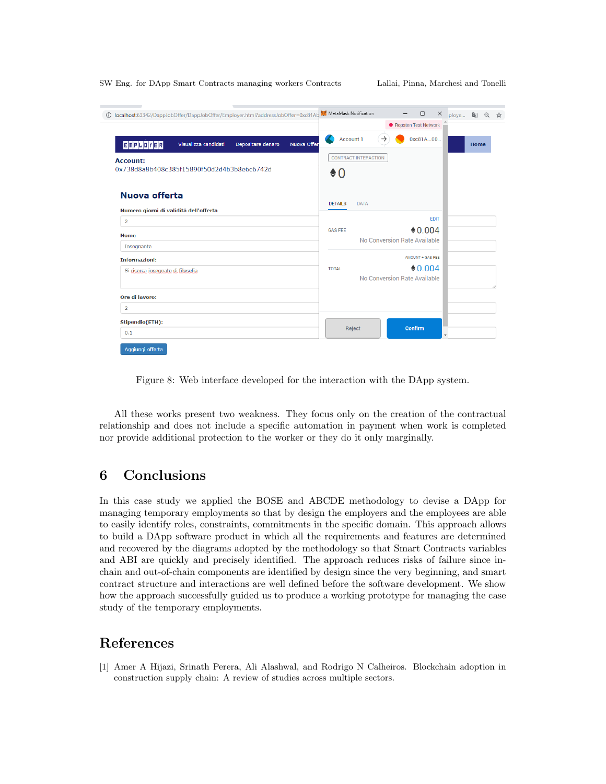| localhost:63342/DappJobOffer/DappJobOffer/Employer.html?addressJobOffer=0xc81AL | $\Box$<br>$\times$<br>$\overline{\phantom{m}}$<br>图只☆<br>ploye               |
|---------------------------------------------------------------------------------|------------------------------------------------------------------------------|
|                                                                                 | ● Ropsten Test Network                                                       |
| <b>EMPLOYER</b><br>Visualizza candidati<br>Depositare denaro<br>Nuova Offer     | 0xc81A00<br>Z.<br><b>Account 1</b><br>$\rightarrow$<br>Home                  |
| <b>Account:</b>                                                                 | <b>CONTRACT INTERACTION</b>                                                  |
| 0x738d8a8b408c385f15890f50d2d4b3b8e6c6742d                                      | $\bullet$ 0                                                                  |
| Nuova offerta                                                                   | <b>DETAILS</b><br><b>DATA</b>                                                |
| Numero giorni di validità dell'offerta                                          |                                                                              |
| $\overline{2}$                                                                  | <b>EDIT</b>                                                                  |
| <b>Nome</b>                                                                     | $*0.004$<br><b>GAS FEE</b><br>No Conversion Rate Available                   |
| Insegnante                                                                      |                                                                              |
| <b>Informazioni:</b>                                                            | AMOUNT + GAS FEE<br>$*0.004$<br><b>TOTAL</b><br>No Conversion Rate Available |
| Si ricerca insegnate di filosofia                                               |                                                                              |
| Ore di lavoro:                                                                  |                                                                              |
| $\overline{2}$                                                                  |                                                                              |
| Stipendio(ETH):                                                                 |                                                                              |
| 0.1                                                                             | Confirm<br>Reject                                                            |

<span id="page-12-0"></span>Figure 8: Web interface developed for the interaction with the DApp system.

All these works present two weakness. They focus only on the creation of the contractual relationship and does not include a specific automation in payment when work is completed nor provide additional protection to the worker or they do it only marginally.

# 6 Conclusions

In this case study we applied the BOSE and ABCDE methodology to devise a DApp for managing temporary employments so that by design the employers and the employees are able to easily identify roles, constraints, commitments in the specific domain. This approach allows to build a DApp software product in which all the requirements and features are determined and recovered by the diagrams adopted by the methodology so that Smart Contracts variables and ABI are quickly and precisely identified. The approach reduces risks of failure since inchain and out-of-chain components are identified by design since the very beginning, and smart contract structure and interactions are well defined before the software development. We show how the approach successfully guided us to produce a working prototype for managing the case study of the temporary employments.

## References

<span id="page-12-1"></span>[1] Amer A Hijazi, Srinath Perera, Ali Alashwal, and Rodrigo N Calheiros. Blockchain adoption in construction supply chain: A review of studies across multiple sectors.